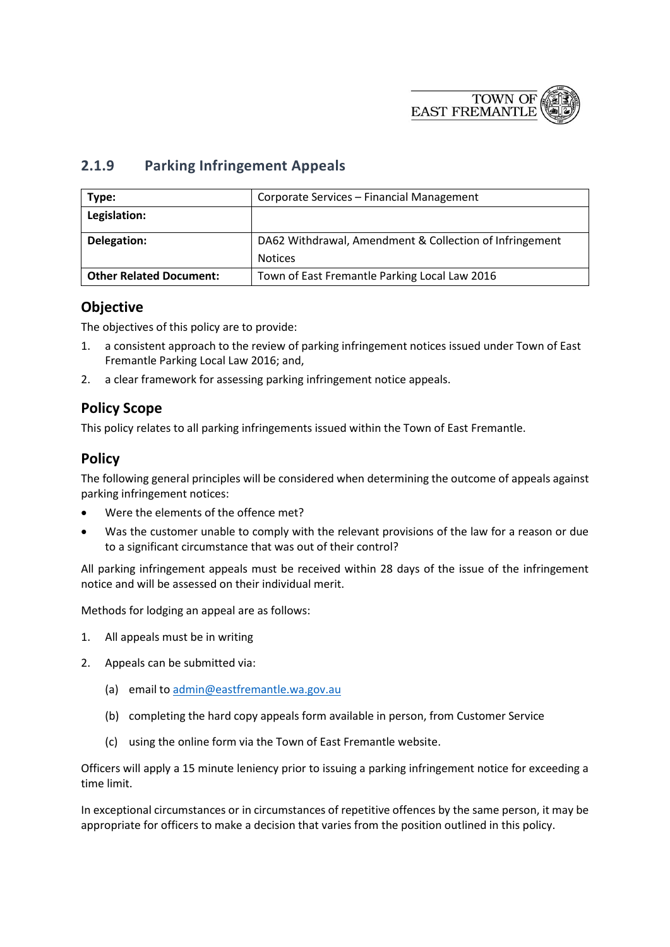

## **2.1.9 Parking Infringement Appeals**

| Type:                          | Corporate Services - Financial Management               |
|--------------------------------|---------------------------------------------------------|
| Legislation:                   |                                                         |
| Delegation:                    | DA62 Withdrawal, Amendment & Collection of Infringement |
|                                | <b>Notices</b>                                          |
| <b>Other Related Document:</b> | Town of East Fremantle Parking Local Law 2016           |

## **Objective**

The objectives of this policy are to provide:

- 1. a consistent approach to the review of parking infringement notices issued under Town of East Fremantle Parking Local Law 2016; and,
- 2. a clear framework for assessing parking infringement notice appeals.

## **Policy Scope**

This policy relates to all parking infringements issued within the Town of East Fremantle.

## **Policy**

The following general principles will be considered when determining the outcome of appeals against parking infringement notices:

- Were the elements of the offence met?
- Was the customer unable to comply with the relevant provisions of the law for a reason or due to a significant circumstance that was out of their control?

All parking infringement appeals must be received within 28 days of the issue of the infringement notice and will be assessed on their individual merit.

Methods for lodging an appeal are as follows:

- 1. All appeals must be in writing
- 2. Appeals can be submitted via:
	- (a) email t[o admin@eastfremantle.wa.gov.au](mailto:admin@eastfremantle.wa.gov.au)
	- (b) completing the hard copy appeals form available in person, from Customer Service
	- (c) using the online form via the Town of East Fremantle website.

Officers will apply a 15 minute leniency prior to issuing a parking infringement notice for exceeding a time limit.

In exceptional circumstances or in circumstances of repetitive offences by the same person, it may be appropriate for officers to make a decision that varies from the position outlined in this policy.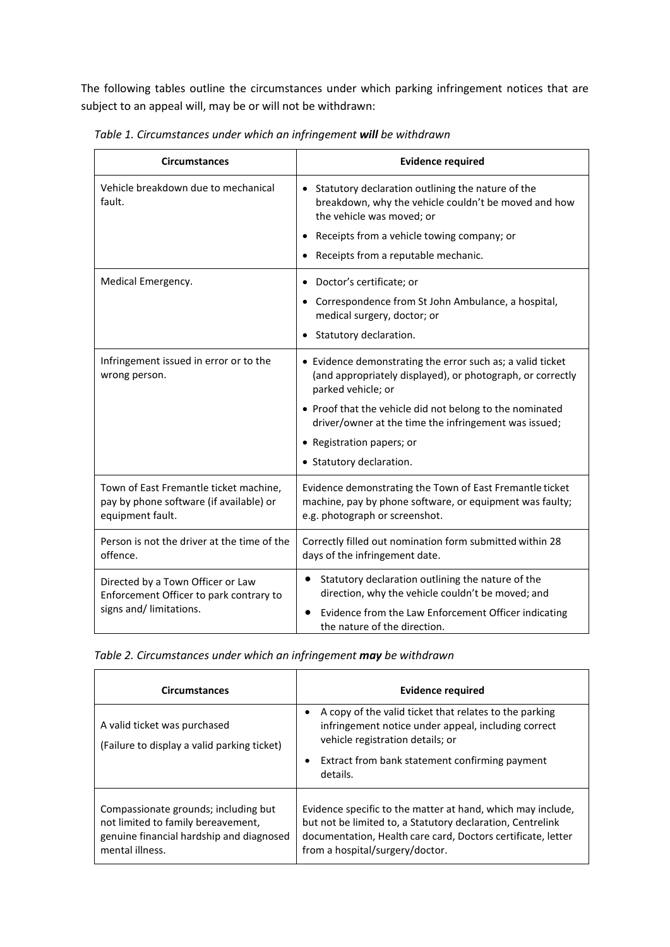The following tables outline the circumstances under which parking infringement notices that are subject to an appeal will, may be or will not be withdrawn:

| <b>Circumstances</b>                                                                                    | <b>Evidence required</b>                                                                                                                               |
|---------------------------------------------------------------------------------------------------------|--------------------------------------------------------------------------------------------------------------------------------------------------------|
| Vehicle breakdown due to mechanical<br>fault.                                                           | Statutory declaration outlining the nature of the<br>breakdown, why the vehicle couldn't be moved and how<br>the vehicle was moved; or                 |
|                                                                                                         | Receipts from a vehicle towing company; or                                                                                                             |
|                                                                                                         | Receipts from a reputable mechanic.                                                                                                                    |
| Medical Emergency.                                                                                      | Doctor's certificate; or<br>$\bullet$                                                                                                                  |
|                                                                                                         | Correspondence from St John Ambulance, a hospital,<br>medical surgery, doctor; or                                                                      |
|                                                                                                         | Statutory declaration.                                                                                                                                 |
| Infringement issued in error or to the<br>wrong person.                                                 | • Evidence demonstrating the error such as; a valid ticket<br>(and appropriately displayed), or photograph, or correctly<br>parked vehicle; or         |
|                                                                                                         | • Proof that the vehicle did not belong to the nominated<br>driver/owner at the time the infringement was issued;                                      |
|                                                                                                         | • Registration papers; or                                                                                                                              |
|                                                                                                         | • Statutory declaration.                                                                                                                               |
| Town of East Fremantle ticket machine,<br>pay by phone software (if available) or<br>equipment fault.   | Evidence demonstrating the Town of East Fremantle ticket<br>machine, pay by phone software, or equipment was faulty;<br>e.g. photograph or screenshot. |
| Person is not the driver at the time of the<br>offence.                                                 | Correctly filled out nomination form submitted within 28<br>days of the infringement date.                                                             |
| Directed by a Town Officer or Law<br>Enforcement Officer to park contrary to<br>signs and/ limitations. | Statutory declaration outlining the nature of the<br>direction, why the vehicle couldn't be moved; and                                                 |
|                                                                                                         | Evidence from the Law Enforcement Officer indicating<br>the nature of the direction.                                                                   |

*Table 1. Circumstances under which an infringement will be withdrawn*

| Table 2. Circumstances under which an infringement may be withdrawn |  |  |  |
|---------------------------------------------------------------------|--|--|--|
|---------------------------------------------------------------------|--|--|--|

| <b>Circumstances</b>                                                                                                                      | <b>Evidence required</b>                                                                                                                                                                                                     |  |
|-------------------------------------------------------------------------------------------------------------------------------------------|------------------------------------------------------------------------------------------------------------------------------------------------------------------------------------------------------------------------------|--|
| A valid ticket was purchased<br>(Failure to display a valid parking ticket)                                                               | A copy of the valid ticket that relates to the parking<br>infringement notice under appeal, including correct<br>vehicle registration details; or<br>Extract from bank statement confirming payment<br>$\bullet$<br>details. |  |
| Compassionate grounds; including but<br>not limited to family bereavement,<br>genuine financial hardship and diagnosed<br>mental illness. | Evidence specific to the matter at hand, which may include,<br>but not be limited to, a Statutory declaration, Centrelink<br>documentation, Health care card, Doctors certificate, letter<br>from a hospital/surgery/doctor. |  |